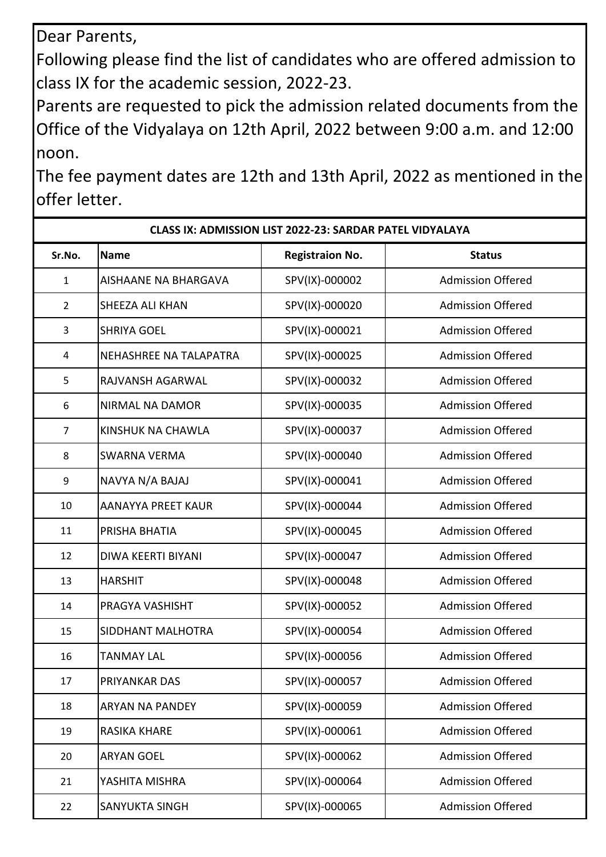Dear Parents,

Following please find the list of candidates who are offered admission to class IX for the academic session, 2022-23.

Parents are requested to pick the admission related documents from the Office of the Vidyalaya on 12th April, 2022 between 9:00 a.m. and 12:00 noon.

The fee payment dates are 12th and 13th April, 2022 as mentioned in the offer letter.

| <b>CLASS IX: ADMISSION LIST 2022-23: SARDAR PATEL VIDYALAYA</b> |                             |                        |                          |  |  |  |
|-----------------------------------------------------------------|-----------------------------|------------------------|--------------------------|--|--|--|
| Sr.No.                                                          | <b>Name</b>                 | <b>Registraion No.</b> | <b>Status</b>            |  |  |  |
| $\mathbf{1}$                                                    | <b>AISHAANE NA BHARGAVA</b> | SPV(IX)-000002         | <b>Admission Offered</b> |  |  |  |
| $\overline{2}$                                                  | SHEEZA ALI KHAN             | SPV(IX)-000020         | <b>Admission Offered</b> |  |  |  |
| $\overline{3}$                                                  | <b>SHRIYA GOEL</b>          | SPV(IX)-000021         | <b>Admission Offered</b> |  |  |  |
| 4                                                               | NEHASHREE NA TALAPATRA      | SPV(IX)-000025         | <b>Admission Offered</b> |  |  |  |
| 5                                                               | RAJVANSH AGARWAL            | SPV(IX)-000032         | <b>Admission Offered</b> |  |  |  |
| 6                                                               | NIRMAL NA DAMOR             | SPV(IX)-000035         | <b>Admission Offered</b> |  |  |  |
| 7                                                               | KINSHUK NA CHAWLA           | SPV(IX)-000037         | <b>Admission Offered</b> |  |  |  |
| 8                                                               | <b>SWARNA VERMA</b>         | SPV(IX)-000040         | <b>Admission Offered</b> |  |  |  |
| 9                                                               | NAVYA N/A BAJAJ             | SPV(IX)-000041         | <b>Admission Offered</b> |  |  |  |
| 10                                                              | <b>AANAYYA PREET KAUR</b>   | SPV(IX)-000044         | <b>Admission Offered</b> |  |  |  |
| 11                                                              | PRISHA BHATIA               | SPV(IX)-000045         | <b>Admission Offered</b> |  |  |  |
| 12                                                              | <b>DIWA KEERTI BIYANI</b>   | SPV(IX)-000047         | <b>Admission Offered</b> |  |  |  |
| 13                                                              | <b>HARSHIT</b>              | SPV(IX)-000048         | <b>Admission Offered</b> |  |  |  |
| 14                                                              | PRAGYA VASHISHT             | SPV(IX)-000052         | <b>Admission Offered</b> |  |  |  |
| 15                                                              | SIDDHANT MALHOTRA           | SPV(IX)-000054         | <b>Admission Offered</b> |  |  |  |
| 16                                                              | <b>TANMAY LAL</b>           | SPV(IX)-000056         | <b>Admission Offered</b> |  |  |  |
| 17                                                              | PRIYANKAR DAS               | SPV(IX)-000057         | <b>Admission Offered</b> |  |  |  |
| 18                                                              | <b>ARYAN NA PANDEY</b>      | SPV(IX)-000059         | <b>Admission Offered</b> |  |  |  |
| 19                                                              | <b>RASIKA KHARE</b>         | SPV(IX)-000061         | <b>Admission Offered</b> |  |  |  |
| 20                                                              | <b>ARYAN GOEL</b>           | SPV(IX)-000062         | <b>Admission Offered</b> |  |  |  |
| 21                                                              | YASHITA MISHRA              | SPV(IX)-000064         | <b>Admission Offered</b> |  |  |  |
| 22                                                              | <b>SANYUKTA SINGH</b>       | SPV(IX)-000065         | <b>Admission Offered</b> |  |  |  |